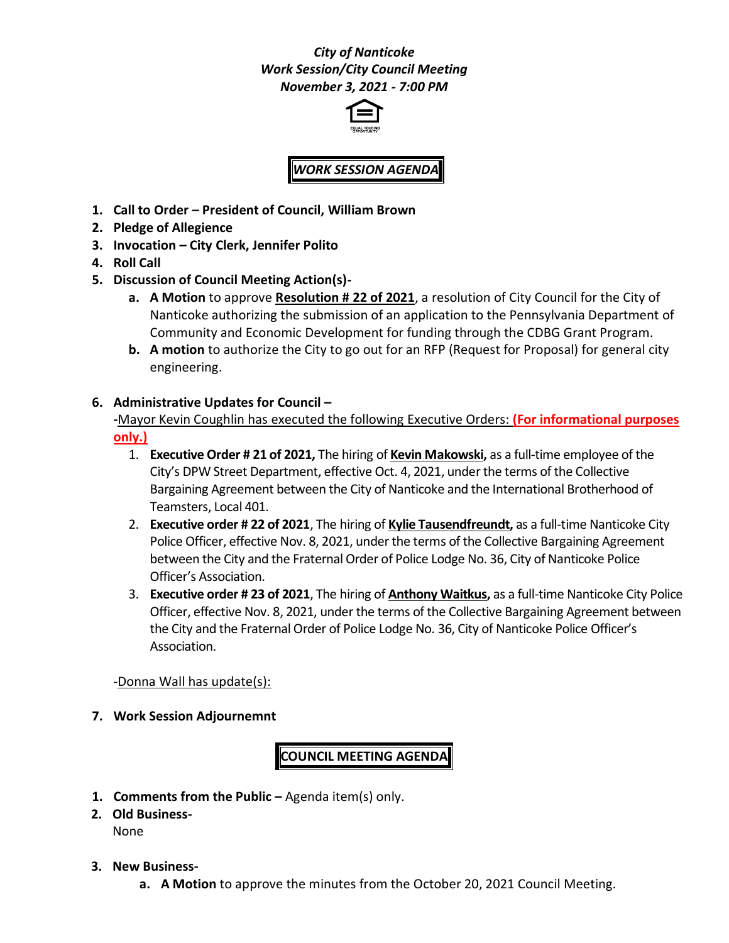## *City of Nanticoke Work Session/City Council Meeting November 3, 2021 - 7:00 PM*



## *WORK SESSION AGENDA*

- **1. Call to Order – President of Council, William Brown**
- **2. Pledge of Allegience**
- **3. Invocation – City Clerk, Jennifer Polito**
- **4. Roll Call**
- **5. Discussion of Council Meeting Action(s)**
	- **a. A Motion** to approve **Resolution # 22 of 2021**, a resolution of City Council for the City of Nanticoke authorizing the submission of an application to the Pennsylvania Department of Community and Economic Development for funding through the CDBG Grant Program.
	- **b. A motion** to authorize the City to go out for an RFP (Request for Proposal) for general city engineering.
- **6. Administrative Updates for Council –**

**-**Mayor Kevin Coughlin has executed the following Executive Orders: **(For informational purposes only.)**

- 1. **Executive Order # 21 of 2021,** The hiring of **Kevin Makowski,** as a full-time employee of the City's DPW Street Department, effective Oct. 4, 2021, under the terms of the Collective Bargaining Agreement between the City of Nanticoke and the International Brotherhood of Teamsters, Local 401.
- 2. **Executive order # 22 of 2021**, The hiring of **Kylie Tausendfreundt,** as a full-time Nanticoke City Police Officer, effective Nov. 8, 2021, under the terms of the Collective Bargaining Agreement between the City and the Fraternal Order of Police Lodge No. 36, City of Nanticoke Police Officer's Association.
- 3. **Executive order # 23 of 2021**, The hiring of **Anthony Waitkus,** as a full-time Nanticoke City Police Officer, effective Nov. 8, 2021, under the terms of the Collective Bargaining Agreement between the City and the Fraternal Order of Police Lodge No. 36, City of Nanticoke Police Officer's Association.

-Donna Wall has update(s):

**7. Work Session Adjournemnt**

**COUNCIL MEETING AGENDA**

- **1. Comments from the Public –** Agenda item(s) only.
- **2. Old Business-**None
- **3. New Business**
	- **a. A Motion** to approve the minutes from the October 20, 2021 Council Meeting.